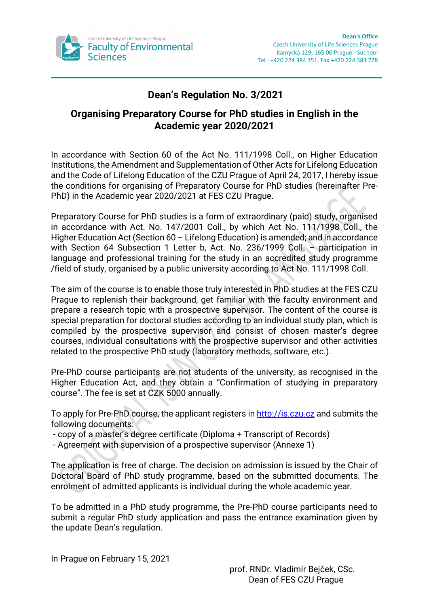

## **Dean's Regulation No. 3/2021**

## **Organising Preparatory Course for PhD studies in English in the Academic year 2020/2021**

In accordance with Section 60 of the Act No. 111/1998 Coll., on Higher Education Institutions, the Amendment and Supplementation of Other Acts for Lifelong Education and the Code of Lifelong Education of the CZU Prague of April 24, 2017, I hereby issue the conditions for organising of Preparatory Course for PhD studies (hereinafter Pre-PhD) in the Academic year 2020/2021 at FES CZU Prague.

Preparatory Course for PhD studies is a form of extraordinary (paid) study, organised in accordance with Act. No. 147/2001 Coll., by which Act No. 111/1998 Coll., the Higher Education Act (Section 60 – Lifelong Education) is amended; and in accordance with Section 64 Subsection 1 Letter b, Act. No. 236/1999 Coll. – participation in language and professional training for the study in an accredited study programme /field of study, organised by a public university according to Act No. 111/1998 Coll.

The aim of the course is to enable those truly interested in PhD studies at the FES CZU Prague to replenish their background, get familiar with the faculty environment and prepare a research topic with a prospective supervisor. The content of the course is special preparation for doctoral studies according to an individual study plan, which is compiled by the prospective supervisor and consist of chosen master's degree courses, individual consultations with the prospective supervisor and other activities related to the prospective PhD study (laboratory methods, software, etc.).

Pre-PhD course participants are not students of the university, as recognised in the Higher Education Act, and they obtain a "Confirmation of studying in preparatory course". The fee is set at CZK 5000 annually.

To apply for Pre-PhD course, the applicant registers in [http://is.czu.cz](http://is.czu.cz/) and submits the following documents:

- copy of a master's degree certificate (Diploma + Transcript of Records)
- Agreement with supervision of a prospective supervisor (Annexe 1)

The application is free of charge. The decision on admission is issued by the Chair of Doctoral Board of PhD study programme, based on the submitted documents. The enrolment of admitted applicants is individual during the whole academic year.

To be admitted in a PhD study programme, the Pre-PhD course participants need to submit a regular PhD study application and pass the entrance examination given by the update Dean's regulation.

In Prague on February 15, 2021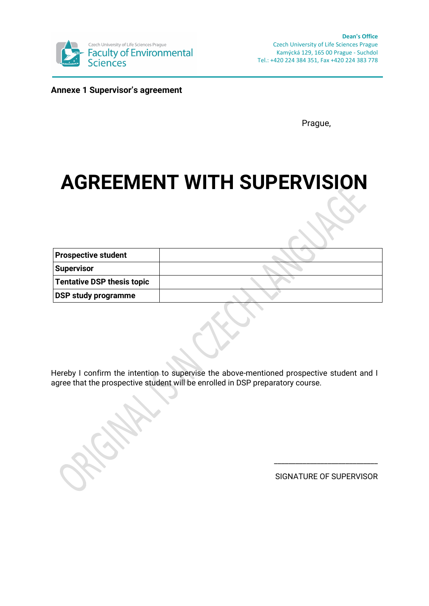

**Annexe 1 Supervisor's agreement**

Prague,

# **AGREEMENT WITH SUPERVISION**

| <b>Prospective student</b> |  |
|----------------------------|--|
| Supervisor                 |  |
| Tentative DSP thesis topic |  |
| <b>DSP study programme</b> |  |

Hereby I confirm the intention to supervise the above-mentioned prospective student and I agree that the prospective student will be enrolled in DSP preparatory course.

SIGNATURE OF SUPERVISOR

\_\_\_\_\_\_\_\_\_\_\_\_\_\_\_\_\_\_\_\_\_\_\_\_\_\_\_\_\_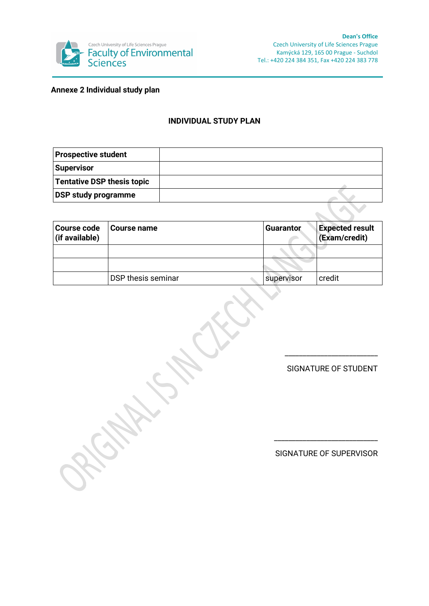

**Annexe 2 Individual study plan**

#### **INDIVIDUAL STUDY PLAN**

| <b>Prospective student</b> |  |
|----------------------------|--|
| Supervisor                 |  |
| Tentative DSP thesis topic |  |
| <b>DSP study programme</b> |  |

| <b>Course code</b><br>(if available) | <b>Course name</b> | <b>Guarantor</b> | <b>Expected result</b><br>(Exam/credit) |
|--------------------------------------|--------------------|------------------|-----------------------------------------|
|                                      |                    |                  |                                         |
|                                      |                    |                  |                                         |
|                                      | DSP thesis seminar | supervisor       | credit                                  |

SIGNATURE OF STUDENT

\_\_\_\_\_\_\_\_\_\_\_\_\_\_\_\_\_\_\_\_\_\_\_\_\_\_

SIGNATURE OF SUPERVISOR

\_\_\_\_\_\_\_\_\_\_\_\_\_\_\_\_\_\_\_\_\_\_\_\_\_\_\_\_\_